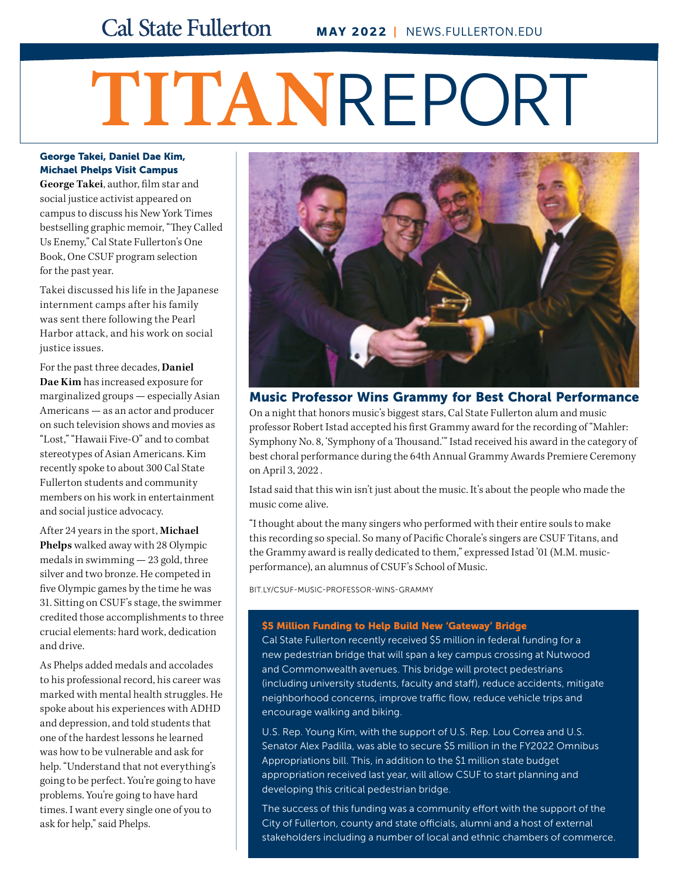# **TITAN**REPORT

### George Takei, Daniel Dae Kim, Michael Phelps Visit Campus

**George Takei**, author, film star and social justice activist appeared on campus to discuss his New York Times bestselling graphic memoir, "They Called Us Enemy," Cal State Fullerton's One Book, One CSUF program selection for the past year.

Takei discussed his life in the Japanese internment camps after his family was sent there following the Pearl Harbor attack, and his work on social justice issues.

For the past three decades, **Daniel Dae Kim** has increased exposure for marginalized groups — especially Asian Americans — as an actor and producer on such television shows and movies as "Lost," "Hawaii Five-O" and to combat stereotypes of Asian Americans. Kim recently spoke to about 300 Cal State Fullerton students and community members on his work in entertainment and social justice advocacy.

After 24 years in the sport, **Michael Phelps** walked away with 28 Olympic medals in swimming — 23 gold, three silver and two bronze. He competed in five Olympic games by the time he was 31. Sitting on CSUF's stage, the swimmer credited those accomplishments to three crucial elements: hard work, dedication and drive.

As Phelps added medals and accolades to his professional record, his career was marked with mental health struggles. He spoke about his experiences with ADHD and depression, and told students that one of the hardest lessons he learned was how to be vulnerable and ask for help. "Understand that not everything's going to be perfect. You're going to have problems. You're going to have hard times. I want every single one of you to ask for help," said Phelps.



Music Professor Wins Grammy for Best Choral Performance On a night that honors music's biggest stars, Cal State Fullerton alum and music professor Robert Istad accepted his first Grammy award for the recording of "Mahler: Symphony No. 8, 'Symphony of a Thousand.'" Istad received his award in the category of best choral performance during the 64th Annual Grammy Awards Premiere Ceremony on April 3, 2022 .

Istad said that this win isn't just about the music. It's about the people who made the music come alive.

"I thought about the many singers who performed with their entire souls to make this recording so special. So many of Pacific Chorale's singers are CSUF Titans, and the Grammy award is really dedicated to them," expressed Istad '01 (M.M. musicperformance), an alumnus of CSUF's School of Music.

[BIT.LY/CSUF-MUSIC-PROFESSOR-WINS-GRAMMY](http://bit.ly/CSUF-Music-Professor-Wins-Grammy)

### \$5 Million Funding to Help Build New 'Gateway' Bridge

Cal State Fullerton recently received \$5 million in federal funding for a new pedestrian bridge that will span a key campus crossing at Nutwood and Commonwealth avenues. This bridge will protect pedestrians (including university students, faculty and staff), reduce accidents, mitigate neighborhood concerns, improve traffic flow, reduce vehicle trips and encourage walking and biking.

U.S. Rep. Young Kim, with the support of U.S. Rep. Lou Correa and U.S. Senator Alex Padilla, was able to secure \$5 million in the FY2022 Omnibus Appropriations bill. This, in addition to the \$1 million state budget appropriation received last year, will allow CSUF to start planning and developing this critical pedestrian bridge.

The success of this funding was a community effort with the support of the City of Fullerton, county and state officials, alumni and a host of external stakeholders including a number of local and ethnic chambers of commerce.